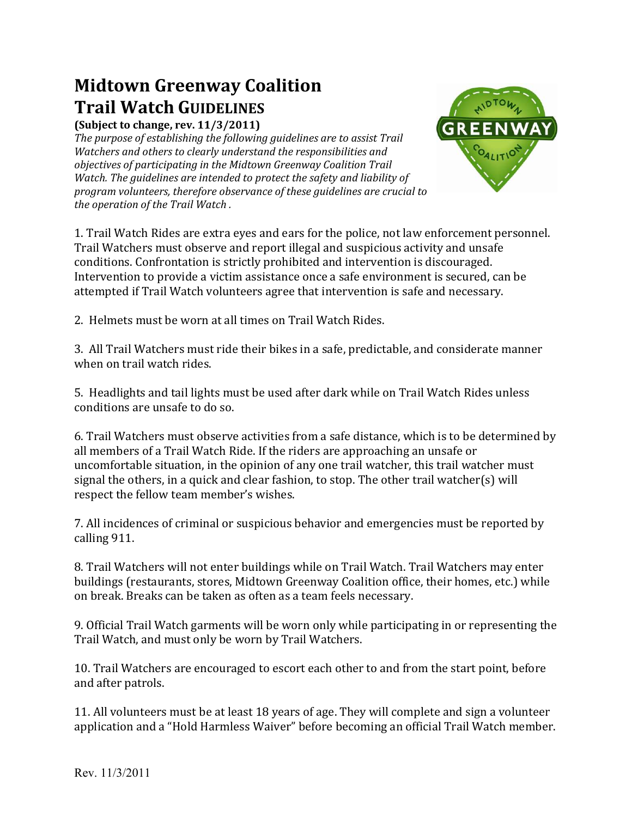## **Midtown Greenway Coalition Trail Watch GUIDELINES**

**(Subject to change, rev. 11/3/2011)** 

*The purpose of establishing the following guidelines are to assist Trail Watchers and others to clearly understand the responsibilities and objectives of participating in the Midtown Greenway Coalition Trail Watch. The guidelines are intended to protect the safety and liability of program volunteers, therefore observance of these guidelines are crucial to the operation of the Trail Watch .* 



1. Trail Watch Rides are extra eyes and ears for the police, not law enforcement personnel. Trail Watchers must observe and report illegal and suspicious activity and unsafe conditions. Confrontation is strictly prohibited and intervention is discouraged. Intervention to provide a victim assistance once a safe environment is secured, can be attempted if Trail Watch volunteers agree that intervention is safe and necessary.

2. Helmets must be worn at all times on Trail Watch Rides.

3. All Trail Watchers must ride their bikes in a safe, predictable, and considerate manner when on trail watch rides.

5. Headlights and tail lights must be used after dark while on Trail Watch Rides unless conditions are unsafe to do so.

6. Trail Watchers must observe activities from a safe distance, which is to be determined by all members of a Trail Watch Ride. If the riders are approaching an unsafe or uncomfortable situation, in the opinion of any one trail watcher, this trail watcher must signal the others, in a quick and clear fashion, to stop. The other trail watcher(s) will respect the fellow team member's wishes.

7. All incidences of criminal or suspicious behavior and emergencies must be reported by calling 911.

8. Trail Watchers will not enter buildings while on Trail Watch. Trail Watchers may enter buildings (restaurants, stores, Midtown Greenway Coalition office, their homes, etc.) while on break. Breaks can be taken as often as a team feels necessary.

9. Official Trail Watch garments will be worn only while participating in or representing the Trail Watch, and must only be worn by Trail Watchers.

10. Trail Watchers are encouraged to escort each other to and from the start point, before and after patrols.

11. All volunteers must be at least 18 years of age. They will complete and sign a volunteer application and a "Hold Harmless Waiver" before becoming an official Trail Watch member.